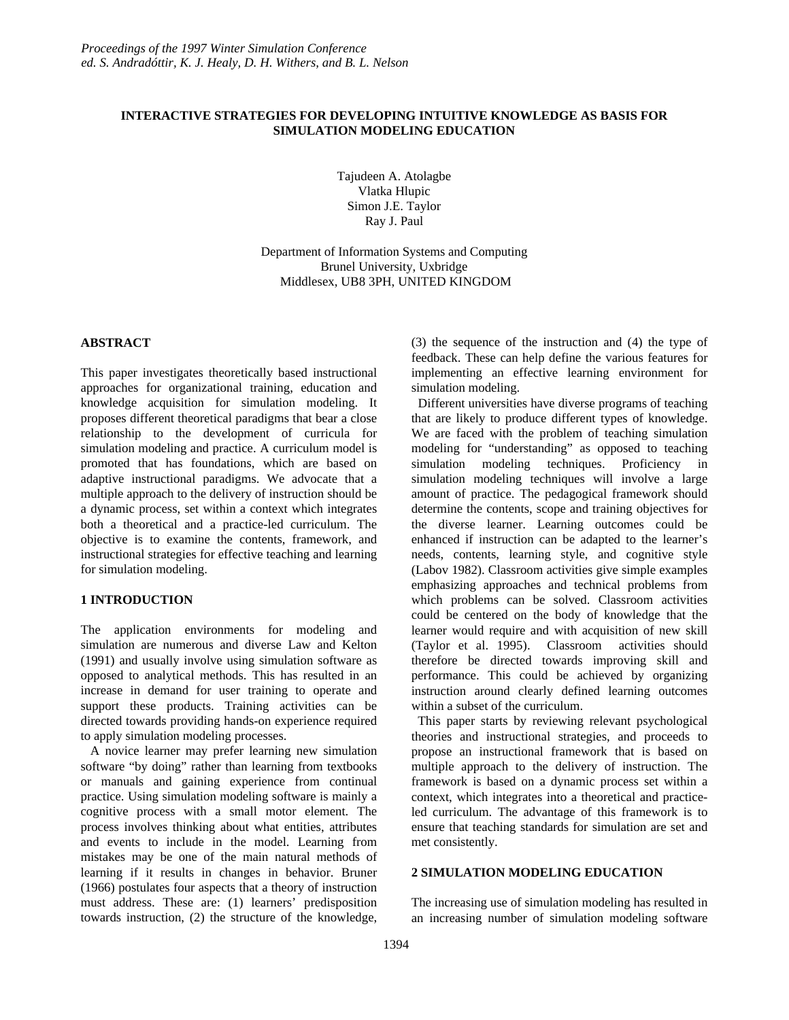# **INTERACTIVE STRATEGIES FOR DEVELOPING INTUITIVE KNOWLEDGE AS BASIS FOR SIMULATION MODELING EDUCATION**

Tajudeen A. Atolagbe Vlatka Hlupic Simon J.E. Taylor Ray J. Paul

Department of Information Systems and Computing Brunel University, Uxbridge Middlesex, UB8 3PH, UNITED KINGDOM

### **ABSTRACT**

This paper investigates theoretically based instructional approaches for organizational training, education and knowledge acquisition for simulation modeling. It proposes different theoretical paradigms that bear a close relationship to the development of curricula for simulation modeling and practice. A curriculum model is promoted that has foundations, which are based on adaptive instructional paradigms. We advocate that a multiple approach to the delivery of instruction should be a dynamic process, set within a context which integrates both a theoretical and a practice-led curriculum. The objective is to examine the contents, framework, and instructional strategies for effective teaching and learning for simulation modeling.

## **1 INTRODUCTION**

The application environments for modeling and simulation are numerous and diverse Law and Kelton (1991) and usually involve using simulation software as opposed to analytical methods. This has resulted in an increase in demand for user training to operate and support these products. Training activities can be directed towards providing hands-on experience required to apply simulation modeling processes.

 A novice learner may prefer learning new simulation software "by doing" rather than learning from textbooks or manuals and gaining experience from continual practice. Using simulation modeling software is mainly a cognitive process with a small motor element. The process involves thinking about what entities, attributes and events to include in the model. Learning from mistakes may be one of the main natural methods of learning if it results in changes in behavior. Bruner (1966) postulates four aspects that a theory of instruction must address. These are: (1) learners' predisposition towards instruction, (2) the structure of the knowledge,

(3) the sequence of the instruction and (4) the type of feedback. These can help define the various features for implementing an effective learning environment for simulation modeling.

 Different universities have diverse programs of teaching that are likely to produce different types of knowledge. We are faced with the problem of teaching simulation modeling for "understanding" as opposed to teaching simulation modeling techniques. Proficiency in simulation modeling techniques will involve a large amount of practice. The pedagogical framework should determine the contents, scope and training objectives for the diverse learner. Learning outcomes could be enhanced if instruction can be adapted to the learner's needs, contents, learning style, and cognitive style (Labov 1982). Classroom activities give simple examples emphasizing approaches and technical problems from which problems can be solved. Classroom activities could be centered on the body of knowledge that the learner would require and with acquisition of new skill (Taylor et al. 1995). Classroom activities should therefore be directed towards improving skill and performance. This could be achieved by organizing instruction around clearly defined learning outcomes within a subset of the curriculum.

 This paper starts by reviewing relevant psychological theories and instructional strategies, and proceeds to propose an instructional framework that is based on multiple approach to the delivery of instruction. The framework is based on a dynamic process set within a context, which integrates into a theoretical and practiceled curriculum. The advantage of this framework is to ensure that teaching standards for simulation are set and met consistently.

## **2 SIMULATION MODELING EDUCATION**

The increasing use of simulation modeling has resulted in an increasing number of simulation modeling software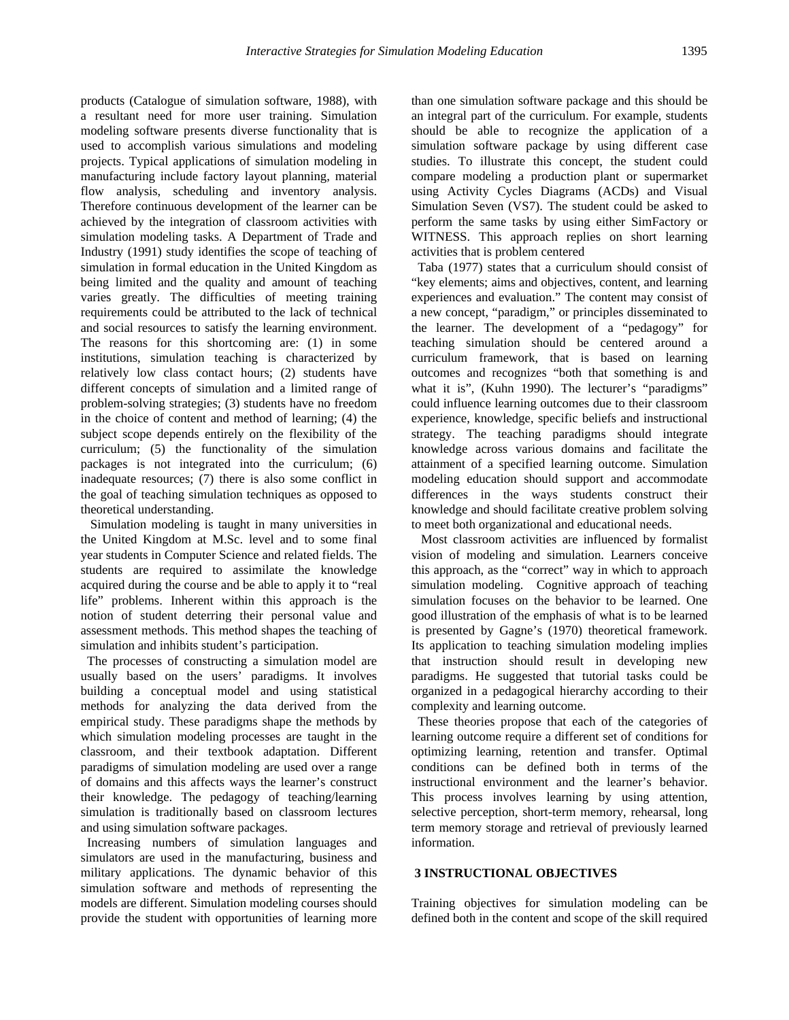products (Catalogue of simulation software, 1988), with a resultant need for more user training. Simulation modeling software presents diverse functionality that is used to accomplish various simulations and modeling projects. Typical applications of simulation modeling in manufacturing include factory layout planning, material flow analysis, scheduling and inventory analysis. Therefore continuous development of the learner can be achieved by the integration of classroom activities with simulation modeling tasks. A Department of Trade and Industry (1991) study identifies the scope of teaching of simulation in formal education in the United Kingdom as being limited and the quality and amount of teaching varies greatly. The difficulties of meeting training requirements could be attributed to the lack of technical and social resources to satisfy the learning environment. The reasons for this shortcoming are: (1) in some institutions, simulation teaching is characterized by relatively low class contact hours; (2) students have different concepts of simulation and a limited range of problem-solving strategies; (3) students have no freedom in the choice of content and method of learning; (4) the subject scope depends entirely on the flexibility of the curriculum; (5) the functionality of the simulation packages is not integrated into the curriculum; (6) inadequate resources; (7) there is also some conflict in the goal of teaching simulation techniques as opposed to theoretical understanding.

 Simulation modeling is taught in many universities in the United Kingdom at M.Sc. level and to some final year students in Computer Science and related fields. The students are required to assimilate the knowledge acquired during the course and be able to apply it to "real life" problems. Inherent within this approach is the notion of student deterring their personal value and assessment methods. This method shapes the teaching of simulation and inhibits student's participation.

 The processes of constructing a simulation model are usually based on the users' paradigms. It involves building a conceptual model and using statistical methods for analyzing the data derived from the empirical study. These paradigms shape the methods by which simulation modeling processes are taught in the classroom, and their textbook adaptation. Different paradigms of simulation modeling are used over a range of domains and this affects ways the learner's construct their knowledge. The pedagogy of teaching/learning simulation is traditionally based on classroom lectures and using simulation software packages.

 Increasing numbers of simulation languages and simulators are used in the manufacturing, business and military applications. The dynamic behavior of this simulation software and methods of representing the models are different. Simulation modeling courses should provide the student with opportunities of learning more than one simulation software package and this should be an integral part of the curriculum. For example, students should be able to recognize the application of a simulation software package by using different case studies. To illustrate this concept, the student could compare modeling a production plant or supermarket using Activity Cycles Diagrams (ACDs) and Visual Simulation Seven (VS7). The student could be asked to perform the same tasks by using either SimFactory or WITNESS. This approach replies on short learning activities that is problem centered

 Taba (1977) states that a curriculum should consist of "key elements; aims and objectives, content, and learning experiences and evaluation." The content may consist of a new concept, "paradigm," or principles disseminated to the learner. The development of a "pedagogy" for teaching simulation should be centered around a curriculum framework, that is based on learning outcomes and recognizes "both that something is and what it is", (Kuhn 1990). The lecturer's "paradigms" could influence learning outcomes due to their classroom experience, knowledge, specific beliefs and instructional strategy. The teaching paradigms should integrate knowledge across various domains and facilitate the attainment of a specified learning outcome. Simulation modeling education should support and accommodate differences in the ways students construct their knowledge and should facilitate creative problem solving to meet both organizational and educational needs.

 Most classroom activities are influenced by formalist vision of modeling and simulation. Learners conceive this approach, as the "correct" way in which to approach simulation modeling. Cognitive approach of teaching simulation focuses on the behavior to be learned. One good illustration of the emphasis of what is to be learned is presented by Gagne's (1970) theoretical framework. Its application to teaching simulation modeling implies that instruction should result in developing new paradigms. He suggested that tutorial tasks could be organized in a pedagogical hierarchy according to their complexity and learning outcome.

 These theories propose that each of the categories of learning outcome require a different set of conditions for optimizing learning, retention and transfer. Optimal conditions can be defined both in terms of the instructional environment and the learner's behavior. This process involves learning by using attention, selective perception, short-term memory, rehearsal, long term memory storage and retrieval of previously learned information.

## **3 INSTRUCTIONAL OBJECTIVES**

Training objectives for simulation modeling can be defined both in the content and scope of the skill required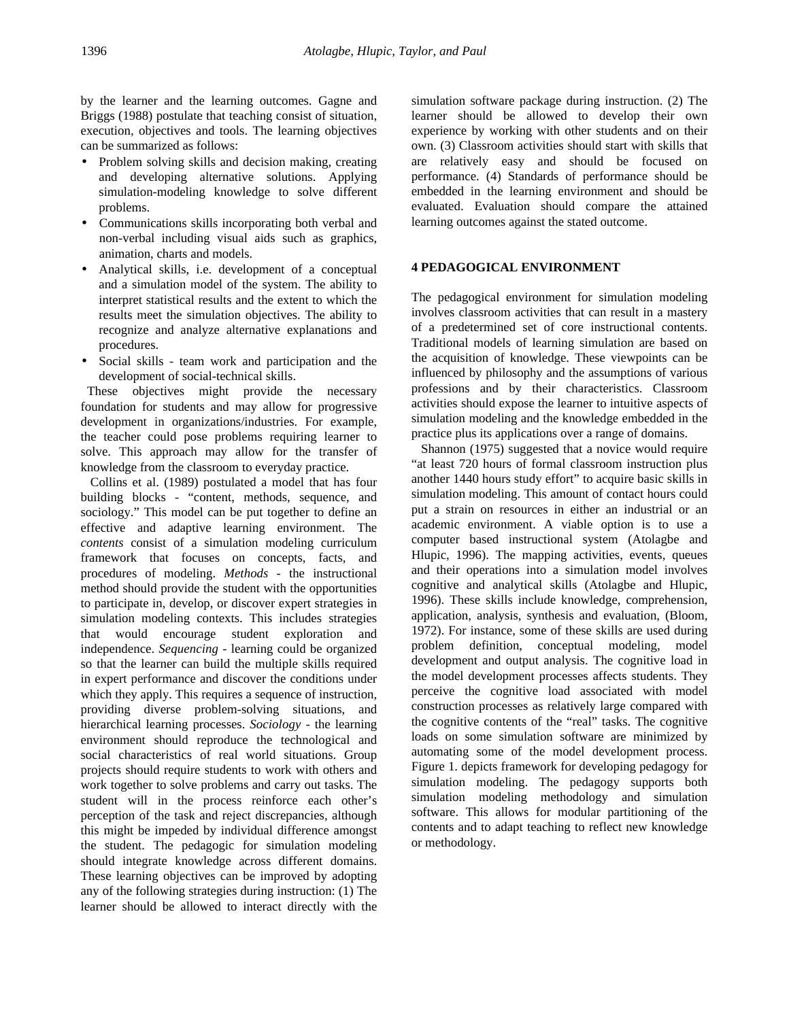by the learner and the learning outcomes. Gagne and Briggs (1988) postulate that teaching consist of situation, execution, objectives and tools. The learning objectives can be summarized as follows:

- Problem solving skills and decision making, creating and developing alternative solutions. Applying simulation-modeling knowledge to solve different problems.
- Communications skills incorporating both verbal and non-verbal including visual aids such as graphics, animation, charts and models.
- Analytical skills, i.e. development of a conceptual and a simulation model of the system. The ability to interpret statistical results and the extent to which the results meet the simulation objectives. The ability to recognize and analyze alternative explanations and procedures.
- Social skills team work and participation and the development of social-technical skills.

 These objectives might provide the necessary foundation for students and may allow for progressive development in organizations/industries. For example, the teacher could pose problems requiring learner to solve. This approach may allow for the transfer of knowledge from the classroom to everyday practice.

 Collins et al. (1989) postulated a model that has four building blocks - "content, methods, sequence, and sociology." This model can be put together to define an effective and adaptive learning environment. The *contents* consist of a simulation modeling curriculum framework that focuses on concepts, facts, and procedures of modeling. *Methods -* the instructional method should provide the student with the opportunities to participate in, develop, or discover expert strategies in simulation modeling contexts. This includes strategies that would encourage student exploration and independence. *Sequencing -* learning could be organized so that the learner can build the multiple skills required in expert performance and discover the conditions under which they apply. This requires a sequence of instruction, providing diverse problem-solving situations, and hierarchical learning processes. *Sociology* - the learning environment should reproduce the technological and social characteristics of real world situations. Group projects should require students to work with others and work together to solve problems and carry out tasks. The student will in the process reinforce each other's perception of the task and reject discrepancies, although this might be impeded by individual difference amongst the student. The pedagogic for simulation modeling should integrate knowledge across different domains. These learning objectives can be improved by adopting any of the following strategies during instruction: (1) The learner should be allowed to interact directly with the simulation software package during instruction. (2) The learner should be allowed to develop their own experience by working with other students and on their own. (3) Classroom activities should start with skills that are relatively easy and should be focused on performance. (4) Standards of performance should be embedded in the learning environment and should be evaluated. Evaluation should compare the attained learning outcomes against the stated outcome.

### **4 PEDAGOGICAL ENVIRONMENT**

The pedagogical environment for simulation modeling involves classroom activities that can result in a mastery of a predetermined set of core instructional contents. Traditional models of learning simulation are based on the acquisition of knowledge. These viewpoints can be influenced by philosophy and the assumptions of various professions and by their characteristics. Classroom activities should expose the learner to intuitive aspects of simulation modeling and the knowledge embedded in the practice plus its applications over a range of domains.

 Shannon (1975) suggested that a novice would require "at least 720 hours of formal classroom instruction plus another 1440 hours study effort" to acquire basic skills in simulation modeling. This amount of contact hours could put a strain on resources in either an industrial or an academic environment. A viable option is to use a computer based instructional system (Atolagbe and Hlupic, 1996). The mapping activities, events, queues and their operations into a simulation model involves cognitive and analytical skills (Atolagbe and Hlupic, 1996). These skills include knowledge, comprehension, application, analysis, synthesis and evaluation, (Bloom, 1972). For instance, some of these skills are used during problem definition, conceptual modeling, model development and output analysis. The cognitive load in the model development processes affects students. They perceive the cognitive load associated with model construction processes as relatively large compared with the cognitive contents of the "real" tasks. The cognitive loads on some simulation software are minimized by automating some of the model development process. Figure 1. depicts framework for developing pedagogy for simulation modeling. The pedagogy supports both simulation modeling methodology and simulation software. This allows for modular partitioning of the contents and to adapt teaching to reflect new knowledge or methodology.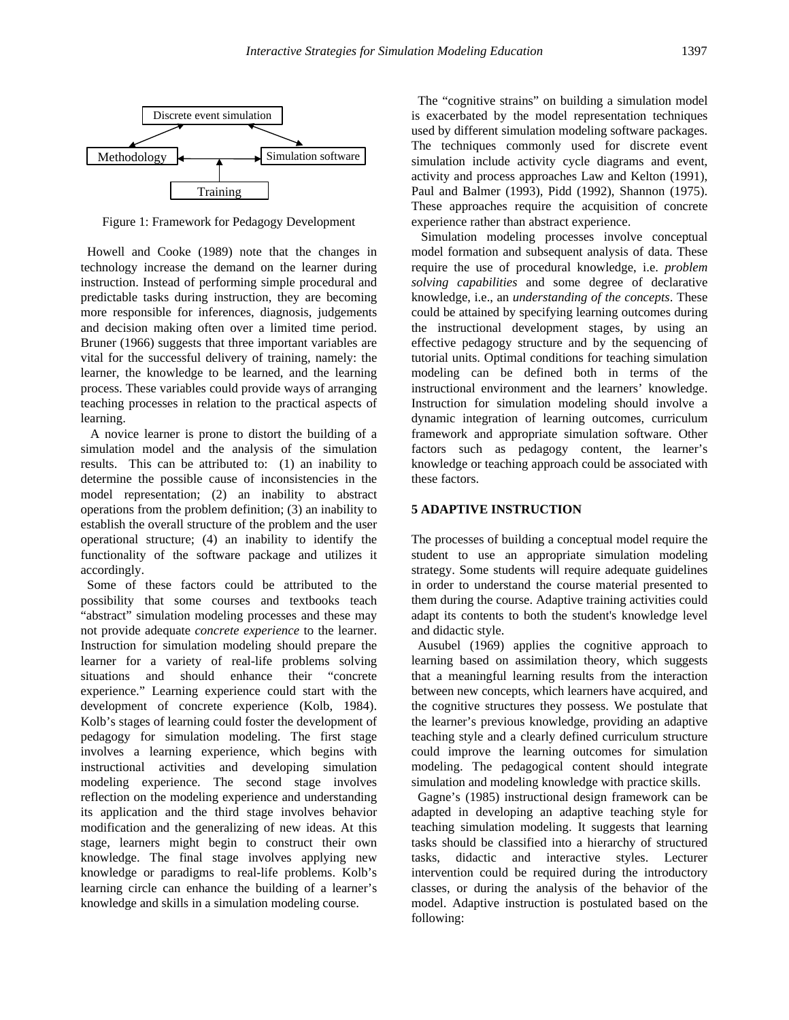

Figure 1: Framework for Pedagogy Development

 Howell and Cooke (1989) note that the changes in technology increase the demand on the learner during instruction. Instead of performing simple procedural and predictable tasks during instruction, they are becoming more responsible for inferences, diagnosis, judgements and decision making often over a limited time period. Bruner (1966) suggests that three important variables are vital for the successful delivery of training, namely: the learner, the knowledge to be learned, and the learning process. These variables could provide ways of arranging teaching processes in relation to the practical aspects of learning.

 A novice learner is prone to distort the building of a simulation model and the analysis of the simulation results. This can be attributed to: (1) an inability to determine the possible cause of inconsistencies in the model representation; (2) an inability to abstract operations from the problem definition; (3) an inability to establish the overall structure of the problem and the user operational structure; (4) an inability to identify the functionality of the software package and utilizes it accordingly.

 Some of these factors could be attributed to the possibility that some courses and textbooks teach "abstract" simulation modeling processes and these may not provide adequate *concrete experience* to the learner. Instruction for simulation modeling should prepare the learner for a variety of real-life problems solving situations and should enhance their "concrete experience." Learning experience could start with the development of concrete experience (Kolb, 1984). Kolb's stages of learning could foster the development of pedagogy for simulation modeling. The first stage involves a learning experience, which begins with instructional activities and developing simulation modeling experience. The second stage involves reflection on the modeling experience and understanding its application and the third stage involves behavior modification and the generalizing of new ideas. At this stage, learners might begin to construct their own knowledge. The final stage involves applying new knowledge or paradigms to real-life problems. Kolb's learning circle can enhance the building of a learner's knowledge and skills in a simulation modeling course.

 The "cognitive strains" on building a simulation model is exacerbated by the model representation techniques used by different simulation modeling software packages. The techniques commonly used for discrete event simulation include activity cycle diagrams and event, activity and process approaches Law and Kelton (1991), Paul and Balmer (1993), Pidd (1992), Shannon (1975). These approaches require the acquisition of concrete experience rather than abstract experience.

 Simulation modeling processes involve conceptual model formation and subsequent analysis of data. These require the use of procedural knowledge, i.e. *problem solving capabilities* and some degree of declarative knowledge, i.e., an *understanding of the concepts*. These could be attained by specifying learning outcomes during the instructional development stages, by using an effective pedagogy structure and by the sequencing of tutorial units. Optimal conditions for teaching simulation modeling can be defined both in terms of the instructional environment and the learners' knowledge. Instruction for simulation modeling should involve a dynamic integration of learning outcomes, curriculum framework and appropriate simulation software. Other factors such as pedagogy content, the learner's knowledge or teaching approach could be associated with these factors.

#### **5 ADAPTIVE INSTRUCTION**

The processes of building a conceptual model require the student to use an appropriate simulation modeling strategy. Some students will require adequate guidelines in order to understand the course material presented to them during the course. Adaptive training activities could adapt its contents to both the student's knowledge level and didactic style.

 Ausubel (1969) applies the cognitive approach to learning based on assimilation theory, which suggests that a meaningful learning results from the interaction between new concepts, which learners have acquired, and the cognitive structures they possess. We postulate that the learner's previous knowledge, providing an adaptive teaching style and a clearly defined curriculum structure could improve the learning outcomes for simulation modeling. The pedagogical content should integrate simulation and modeling knowledge with practice skills.

 Gagne's (1985) instructional design framework can be adapted in developing an adaptive teaching style for teaching simulation modeling. It suggests that learning tasks should be classified into a hierarchy of structured tasks, didactic and interactive styles. Lecturer intervention could be required during the introductory classes, or during the analysis of the behavior of the model. Adaptive instruction is postulated based on the following: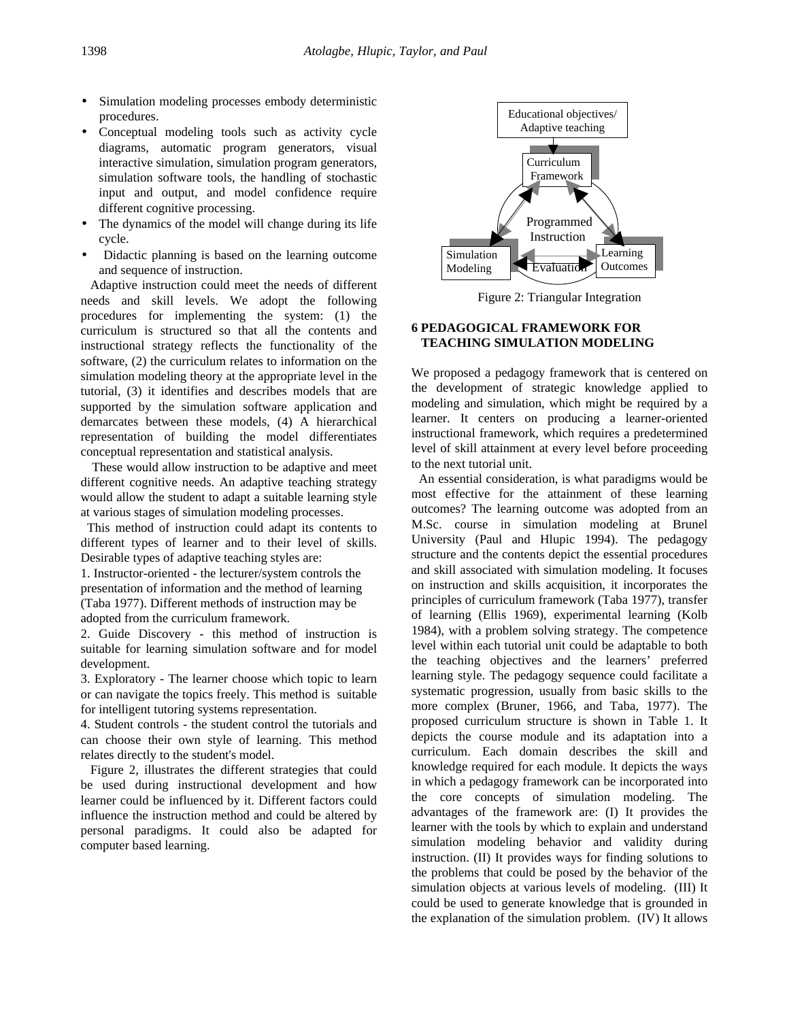- Simulation modeling processes embody deterministic procedures.
- Conceptual modeling tools such as activity cycle diagrams, automatic program generators, visual interactive simulation, simulation program generators, simulation software tools, the handling of stochastic input and output, and model confidence require different cognitive processing.
- The dynamics of the model will change during its life cycle.
- Didactic planning is based on the learning outcome and sequence of instruction.

 Adaptive instruction could meet the needs of different needs and skill levels. We adopt the following procedures for implementing the system: (1) the curriculum is structured so that all the contents and instructional strategy reflects the functionality of the software, (2) the curriculum relates to information on the simulation modeling theory at the appropriate level in the tutorial, (3) it identifies and describes models that are supported by the simulation software application and demarcates between these models, (4) A hierarchical representation of building the model differentiates conceptual representation and statistical analysis.

 These would allow instruction to be adaptive and meet different cognitive needs. An adaptive teaching strategy would allow the student to adapt a suitable learning style at various stages of simulation modeling processes.

 This method of instruction could adapt its contents to different types of learner and to their level of skills. Desirable types of adaptive teaching styles are:

1. Instructor-oriented - the lecturer/system controls the presentation of information and the method of learning (Taba 1977). Different methods of instruction may be adopted from the curriculum framework.

2. Guide Discovery - this method of instruction is suitable for learning simulation software and for model development.

3. Exploratory - The learner choose which topic to learn or can navigate the topics freely. This method is suitable for intelligent tutoring systems representation.

4. Student controls - the student control the tutorials and can choose their own style of learning. This method relates directly to the student's model.

 Figure 2, illustrates the different strategies that could be used during instructional development and how learner could be influenced by it. Different factors could influence the instruction method and could be altered by personal paradigms. It could also be adapted for computer based learning.



Figure 2: Triangular Integration

# **6 PEDAGOGICAL FRAMEWORK FOR TEACHING SIMULATION MODELING**

We proposed a pedagogy framework that is centered on the development of strategic knowledge applied to modeling and simulation, which might be required by a learner. It centers on producing a learner-oriented instructional framework, which requires a predetermined level of skill attainment at every level before proceeding to the next tutorial unit.

 An essential consideration, is what paradigms would be most effective for the attainment of these learning outcomes? The learning outcome was adopted from an M.Sc. course in simulation modeling at Brunel University (Paul and Hlupic 1994). The pedagogy structure and the contents depict the essential procedures and skill associated with simulation modeling. It focuses on instruction and skills acquisition, it incorporates the principles of curriculum framework (Taba 1977), transfer of learning (Ellis 1969), experimental learning (Kolb 1984), with a problem solving strategy. The competence level within each tutorial unit could be adaptable to both the teaching objectives and the learners' preferred learning style. The pedagogy sequence could facilitate a systematic progression, usually from basic skills to the more complex (Bruner, 1966, and Taba, 1977). The proposed curriculum structure is shown in Table 1. It depicts the course module and its adaptation into a curriculum. Each domain describes the skill and knowledge required for each module. It depicts the ways in which a pedagogy framework can be incorporated into the core concepts of simulation modeling. The advantages of the framework are: (I) It provides the learner with the tools by which to explain and understand simulation modeling behavior and validity during instruction. (II) It provides ways for finding solutions to the problems that could be posed by the behavior of the simulation objects at various levels of modeling. (III) It could be used to generate knowledge that is grounded in the explanation of the simulation problem. (IV) It allows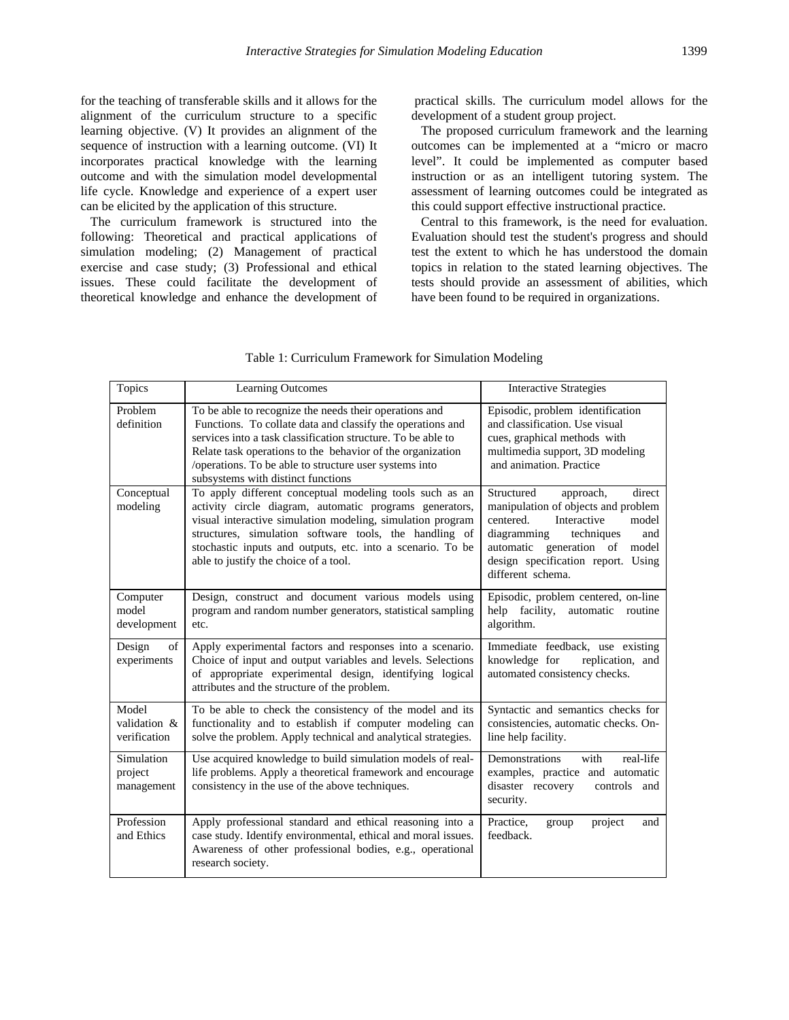for the teaching of transferable skills and it allows for the alignment of the curriculum structure to a specific learning objective. (V) It provides an alignment of the sequence of instruction with a learning outcome. (VI) It incorporates practical knowledge with the learning outcome and with the simulation model developmental life cycle. Knowledge and experience of a expert user can be elicited by the application of this structure.

 The curriculum framework is structured into the following: Theoretical and practical applications of simulation modeling; (2) Management of practical exercise and case study; (3) Professional and ethical issues. These could facilitate the development of theoretical knowledge and enhance the development of

 practical skills. The curriculum model allows for the development of a student group project.

 The proposed curriculum framework and the learning outcomes can be implemented at a "micro or macro level". It could be implemented as computer based instruction or as an intelligent tutoring system. The assessment of learning outcomes could be integrated as this could support effective instructional practice.

 Central to this framework, is the need for evaluation. Evaluation should test the student's progress and should test the extent to which he has understood the domain topics in relation to the stated learning objectives. The tests should provide an assessment of abilities, which have been found to be required in organizations.

| Topics                                | <b>Learning Outcomes</b>                                                                                                                                                                                                                                                                                                                           | <b>Interactive Strategies</b>                                                                                                                                                                                                                          |
|---------------------------------------|----------------------------------------------------------------------------------------------------------------------------------------------------------------------------------------------------------------------------------------------------------------------------------------------------------------------------------------------------|--------------------------------------------------------------------------------------------------------------------------------------------------------------------------------------------------------------------------------------------------------|
| Problem<br>definition                 | To be able to recognize the needs their operations and<br>Functions. To collate data and classify the operations and<br>services into a task classification structure. To be able to<br>Relate task operations to the behavior of the organization<br>/operations. To be able to structure user systems into<br>subsystems with distinct functions | Episodic, problem identification<br>and classification. Use visual<br>cues, graphical methods with<br>multimedia support, 3D modeling<br>and animation. Practice                                                                                       |
| Conceptual<br>modeling                | To apply different conceptual modeling tools such as an<br>activity circle diagram, automatic programs generators,<br>visual interactive simulation modeling, simulation program<br>structures, simulation software tools, the handling of<br>stochastic inputs and outputs, etc. into a scenario. To be<br>able to justify the choice of a tool.  | Structured<br>direct<br>approach,<br>manipulation of objects and problem<br>centered.<br>Interactive<br>model<br>diagramming<br>techniques<br>and<br>automatic<br>generation of<br>model<br>design specification report.<br>Using<br>different schema. |
| Computer<br>model<br>development      | Design, construct and document various models using<br>program and random number generators, statistical sampling<br>etc.                                                                                                                                                                                                                          | Episodic, problem centered, on-line<br>help facility,<br>automatic routine<br>algorithm.                                                                                                                                                               |
| Design<br>of<br>experiments           | Apply experimental factors and responses into a scenario.<br>Choice of input and output variables and levels. Selections<br>of appropriate experimental design, identifying logical<br>attributes and the structure of the problem.                                                                                                                | Immediate feedback, use existing<br>knowledge for<br>replication, and<br>automated consistency checks.                                                                                                                                                 |
| Model<br>validation &<br>verification | To be able to check the consistency of the model and its<br>functionality and to establish if computer modeling can<br>solve the problem. Apply technical and analytical strategies.                                                                                                                                                               | Syntactic and semantics checks for<br>consistencies, automatic checks. On-<br>line help facility.                                                                                                                                                      |
| Simulation<br>project<br>management   | Use acquired knowledge to build simulation models of real-<br>life problems. Apply a theoretical framework and encourage<br>consistency in the use of the above techniques.                                                                                                                                                                        | with<br>real-life<br>Demonstrations<br>examples, practice and automatic<br>disaster recovery<br>controls and<br>security.                                                                                                                              |
| Profession<br>and Ethics              | Apply professional standard and ethical reasoning into a<br>case study. Identify environmental, ethical and moral issues.<br>Awareness of other professional bodies, e.g., operational<br>research society.                                                                                                                                        | Practice.<br>project<br>and<br>group<br>feedback.                                                                                                                                                                                                      |

Table 1: Curriculum Framework for Simulation Modeling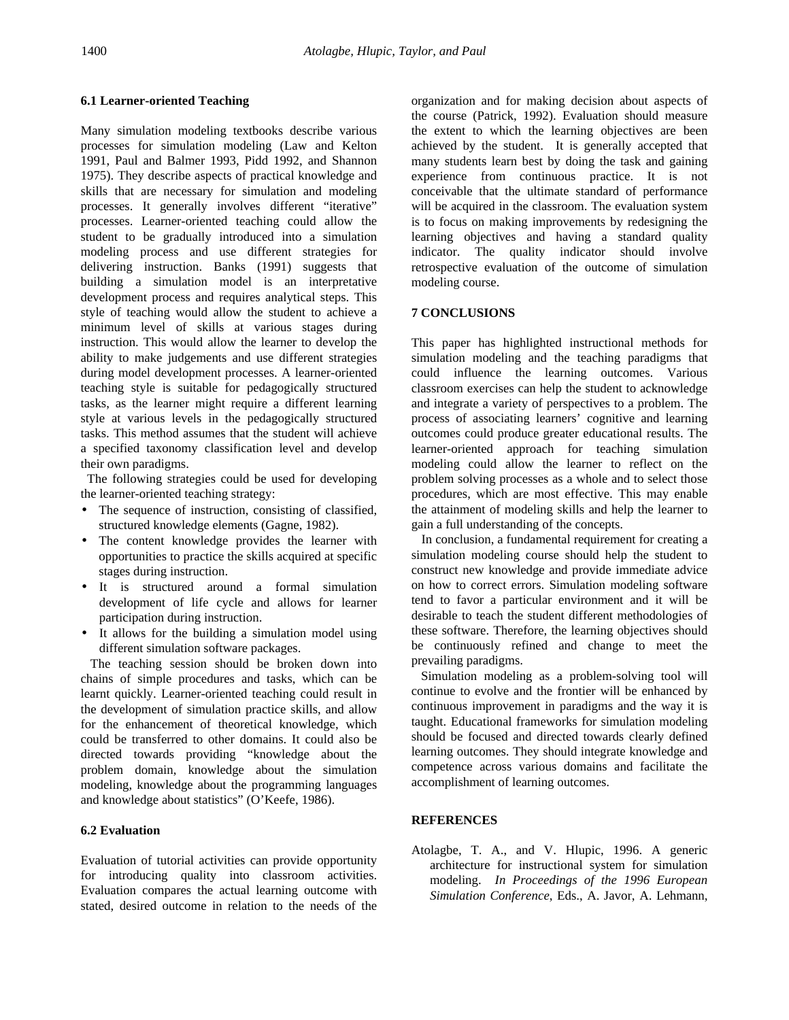# **6.1 Learner-oriented Teaching**

Many simulation modeling textbooks describe various processes for simulation modeling (Law and Kelton 1991, Paul and Balmer 1993, Pidd 1992, and Shannon 1975). They describe aspects of practical knowledge and skills that are necessary for simulation and modeling processes. It generally involves different "iterative" processes. Learner-oriented teaching could allow the student to be gradually introduced into a simulation modeling process and use different strategies for delivering instruction. Banks (1991) suggests that building a simulation model is an interpretative development process and requires analytical steps. This style of teaching would allow the student to achieve a minimum level of skills at various stages during instruction. This would allow the learner to develop the ability to make judgements and use different strategies during model development processes. A learner-oriented teaching style is suitable for pedagogically structured tasks, as the learner might require a different learning style at various levels in the pedagogically structured tasks. This method assumes that the student will achieve a specified taxonomy classification level and develop their own paradigms.

 The following strategies could be used for developing the learner-oriented teaching strategy:

- The sequence of instruction, consisting of classified, structured knowledge elements (Gagne, 1982).
- The content knowledge provides the learner with opportunities to practice the skills acquired at specific stages during instruction.
- It is structured around a formal simulation development of life cycle and allows for learner participation during instruction.
- It allows for the building a simulation model using different simulation software packages.

 The teaching session should be broken down into chains of simple procedures and tasks, which can be learnt quickly. Learner-oriented teaching could result in the development of simulation practice skills, and allow for the enhancement of theoretical knowledge, which could be transferred to other domains. It could also be directed towards providing "knowledge about the problem domain, knowledge about the simulation modeling, knowledge about the programming languages and knowledge about statistics" (O'Keefe, 1986).

## **6.2 Evaluation**

Evaluation of tutorial activities can provide opportunity for introducing quality into classroom activities. Evaluation compares the actual learning outcome with stated, desired outcome in relation to the needs of the organization and for making decision about aspects of the course (Patrick, 1992). Evaluation should measure the extent to which the learning objectives are been achieved by the student. It is generally accepted that many students learn best by doing the task and gaining experience from continuous practice. It is not conceivable that the ultimate standard of performance will be acquired in the classroom. The evaluation system is to focus on making improvements by redesigning the learning objectives and having a standard quality indicator. The quality indicator should involve retrospective evaluation of the outcome of simulation modeling course.

# **7 CONCLUSIONS**

This paper has highlighted instructional methods for simulation modeling and the teaching paradigms that could influence the learning outcomes. Various classroom exercises can help the student to acknowledge and integrate a variety of perspectives to a problem. The process of associating learners' cognitive and learning outcomes could produce greater educational results. The learner-oriented approach for teaching simulation modeling could allow the learner to reflect on the problem solving processes as a whole and to select those procedures, which are most effective. This may enable the attainment of modeling skills and help the learner to gain a full understanding of the concepts.

 In conclusion, a fundamental requirement for creating a simulation modeling course should help the student to construct new knowledge and provide immediate advice on how to correct errors. Simulation modeling software tend to favor a particular environment and it will be desirable to teach the student different methodologies of these software. Therefore, the learning objectives should be continuously refined and change to meet the prevailing paradigms.

 Simulation modeling as a problem-solving tool will continue to evolve and the frontier will be enhanced by continuous improvement in paradigms and the way it is taught. Educational frameworks for simulation modeling should be focused and directed towards clearly defined learning outcomes. They should integrate knowledge and competence across various domains and facilitate the accomplishment of learning outcomes.

### **REFERENCES**

Atolagbe, T. A., and V. Hlupic, 1996. A generic architecture for instructional system for simulation modeling. *In Proceedings of the 1996 European Simulation Conference*, Eds., A. Javor, A. Lehmann,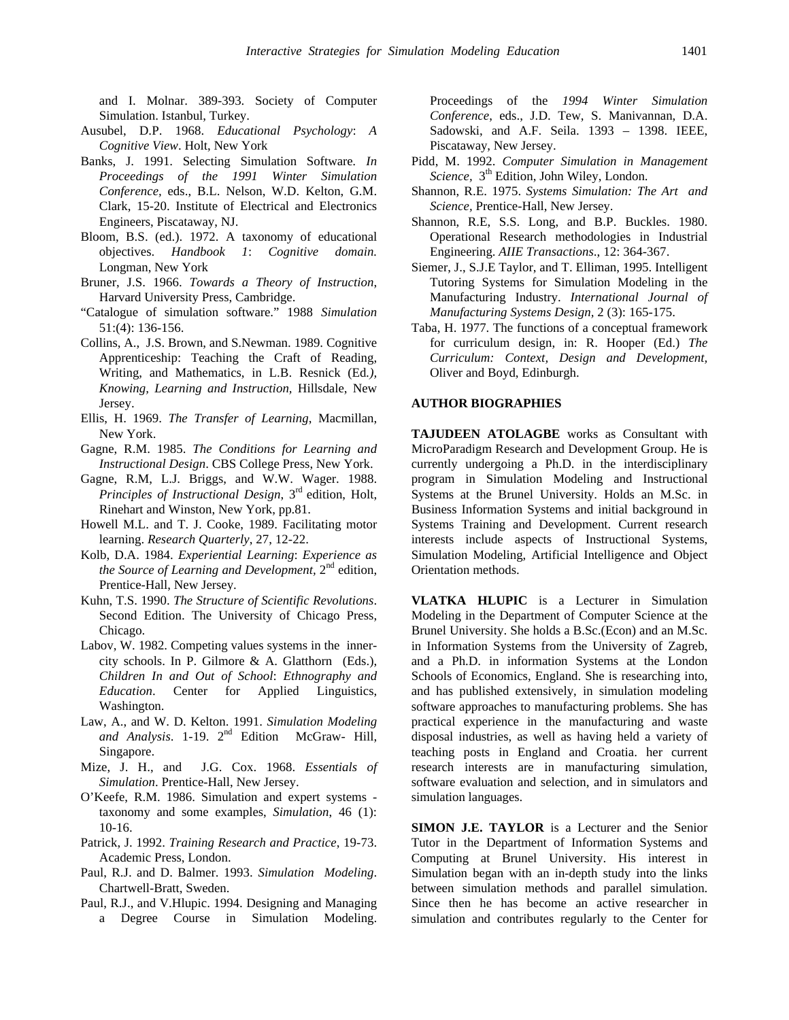and I. Molnar. 389-393. Society of Computer Simulation. Istanbul, Turkey.

- Ausubel, D.P. 1968. *Educational Psychology*: *A Cognitive View*. Holt, New York
- Banks, J. 1991. Selecting Simulation Software*. In Proceedings of the 1991 Winter Simulation Conference,* eds., B.L. Nelson, W.D. Kelton, G.M. Clark, 15-20. Institute of Electrical and Electronics Engineers, Piscataway, NJ.
- Bloom, B.S. (ed.). 1972. A taxonomy of educational objectives. *Handbook 1*: *Cognitive domain.* Longman, New York
- Bruner, J.S. 1966. *Towards a Theory of Instruction*, Harvard University Press, Cambridge.
- "Catalogue of simulation software." 1988 *Simulation* 51:(4): 136-156.
- Collins, A., J.S. Brown, and S.Newman. 1989. Cognitive Apprenticeship: Teaching the Craft of Reading, Writing, and Mathematics, in L.B. Resnick (Ed*.), Knowing, Learning and Instruction,* Hillsdale, New Jersey.
- Ellis, H. 1969. *The Transfer of Learning*, Macmillan, New York.
- Gagne, R.M. 1985. *The Conditions for Learning and Instructional Design*. CBS College Press, New York.
- Gagne, R.M, L.J. Briggs, and W.W. Wager. 1988. *Principles of Instructional Design*, 3rd edition, Holt, Rinehart and Winston, New York, pp.81.
- Howell M.L. and T. J. Cooke, 1989. Facilitating motor learning. *Research Quarterly*, 27, 12-22.
- Kolb, D.A. 1984. *Experiential Learning*: *Experience as the Source of Learning and Development,* 2nd edition, Prentice-Hall, New Jersey.
- Kuhn, T.S. 1990. *The Structure of Scientific Revolutions*. Second Edition. The University of Chicago Press, Chicago.
- Labov, W. 1982. Competing values systems in the innercity schools. In P. Gilmore & A. Glatthorn (Eds.), *Children In and Out of School*: *Ethnography and Education*. Center for Applied Linguistics, Washington.
- Law, A., and W. D. Kelton. 1991. *Simulation Modeling* and Analysis. 1-19. 2<sup>nd</sup> Edition McGraw- Hill, Singapore.
- Mize, J. H., and J.G. Cox. 1968. *Essentials of Simulation*. Prentice-Hall, New Jersey.
- O'Keefe, R.M. 1986. Simulation and expert systems taxonomy and some examples, *Simulation*, 46 (1): 10-16.
- Patrick, J. 1992. *Training Research and Practice*, 19-73. Academic Press, London.
- Paul, R.J. and D. Balmer. 1993. *Simulation Modeling*. Chartwell-Bratt, Sweden.
- Paul, R.J., and V.Hlupic. 1994. Designing and Managing a Degree Course in Simulation Modeling.

Proceedings of the *1994 Winter Simulation Conference*, eds., J.D. Tew, S. Manivannan, D.A. Sadowski, and A.F. Seila. 1393 – 1398. IEEE, Piscataway, New Jersey.

- Pidd, M. 1992. *Computer Simulation in Management Science*, 3<sup>th</sup> Edition, John Wiley, London.
- Shannon, R.E. 1975. *Systems Simulation: The Art and Science,* Prentice-Hall, New Jersey.
- Shannon, R.E, S.S. Long, and B.P. Buckles. 1980. Operational Research methodologies in Industrial Engineering. *AIIE Transactions*., 12: 364-367.
- Siemer, J., S.J.E Taylor, and T. Elliman, 1995. Intelligent Tutoring Systems for Simulation Modeling in the Manufacturing Industry. *International Journal of Manufacturing Systems Design,* 2 (3): 165-175.
- Taba, H. 1977. The functions of a conceptual framework for curriculum design, in: R. Hooper (Ed.) *The Curriculum: Context, Design and Development,* Oliver and Boyd, Edinburgh.

### **AUTHOR BIOGRAPHIES**

**TAJUDEEN ATOLAGBE** works as Consultant with MicroParadigm Research and Development Group. He is currently undergoing a Ph.D. in the interdisciplinary program in Simulation Modeling and Instructional Systems at the Brunel University. Holds an M.Sc. in Business Information Systems and initial background in Systems Training and Development. Current research interests include aspects of Instructional Systems, Simulation Modeling, Artificial Intelligence and Object Orientation methods.

**VLATKA HLUPIC** is a Lecturer in Simulation Modeling in the Department of Computer Science at the Brunel University. She holds a B.Sc.(Econ) and an M.Sc. in Information Systems from the University of Zagreb, and a Ph.D. in information Systems at the London Schools of Economics, England. She is researching into, and has published extensively, in simulation modeling software approaches to manufacturing problems. She has practical experience in the manufacturing and waste disposal industries, as well as having held a variety of teaching posts in England and Croatia. her current research interests are in manufacturing simulation, software evaluation and selection, and in simulators and simulation languages.

**SIMON J.E. TAYLOR** is a Lecturer and the Senior Tutor in the Department of Information Systems and Computing at Brunel University. His interest in Simulation began with an in-depth study into the links between simulation methods and parallel simulation. Since then he has become an active researcher in simulation and contributes regularly to the Center for